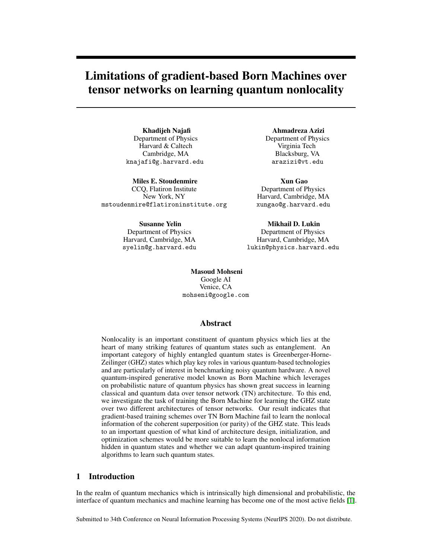# Limitations of gradient-based Born Machines over tensor networks on learning quantum nonlocality

Khadijeh Najafi Department of Physics Harvard & Caltech Cambridge, MA knajafi@g.harvard.edu

Miles E. Stoudenmire CCQ, Flatiron Institute New York, NY mstoudenmire@flatironinstitute.org

> Susanne Yelin Department of Physics Harvard, Cambridge, MA syelin@g.harvard.edu

Ahmadreza Azizi Department of Physics Virginia Tech Blacksburg, VA arazizi@vt.edu

Xun Gao Department of Physics Harvard, Cambridge, MA xungao@g.harvard.edu

Mikhail D. Lukin Department of Physics Harvard, Cambridge, MA lukin@physics.harvard.edu

Masoud Mohseni Google AI Venice, CA mohseni@google.com

## Abstract

Nonlocality is an important constituent of quantum physics which lies at the heart of many striking features of quantum states such as entanglement. An important category of highly entangled quantum states is Greenberger-Horne-Zeilinger (GHZ) states which play key roles in various quantum-based technologies and are particularly of interest in benchmarking noisy quantum hardware. A novel quantum-inspired generative model known as Born Machine which leverages on probabilistic nature of quantum physics has shown great success in learning classical and quantum data over tensor network (TN) architecture. To this end, we investigate the task of training the Born Machine for learning the GHZ state over two different architectures of tensor networks. Our result indicates that gradient-based training schemes over TN Born Machine fail to learn the nonlocal information of the coherent superposition (or parity) of the GHZ state. This leads to an important question of what kind of architecture design, initialization, and optimization schemes would be more suitable to learn the nonlocal information hidden in quantum states and whether we can adapt quantum-inspired training algorithms to learn such quantum states.

## 1 Introduction

In the realm of quantum mechanics which is intrinsically high dimensional and probabilistic, the interface of quantum mechanics and machine learning has become one of the most active fields  $\boxed{1}$ .

Submitted to 34th Conference on Neural Information Processing Systems (NeurIPS 2020). Do not distribute.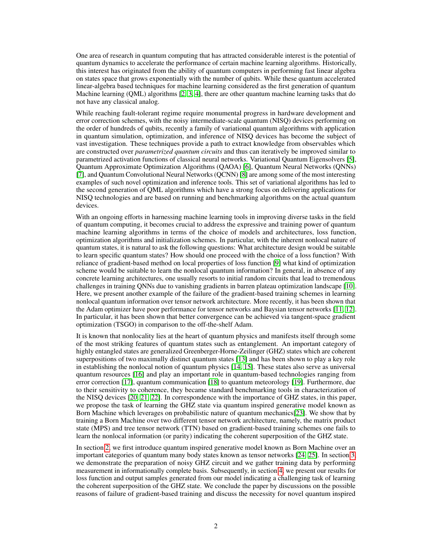One area of research in quantum computing that has attracted considerable interest is the potential of quantum dynamics to accelerate the performance of certain machine learning algorithms. Historically, this interest has originated from the ability of quantum computers in performing fast linear algebra on states space that grows exponentially with the number of qubits. While these quantum accelerated linear-algebra based techniques for machine learning considered as the first generation of quantum Machine learning (QML) algorithms  $\sqrt{2}$ ,  $\sqrt{3}$ ,  $\sqrt{4}$ , there are other quantum machine learning tasks that do not have any classical analog.

While reaching fault-tolerant regime require monumental progress in hardware development and error correction schemes, with the noisy intermediate-scale quantum (NISQ) devices performing on the order of hundreds of qubits, recently a family of variational quantum algorithms with application in quantum simulation, optimization, and inference of NISQ devices has become the subject of vast investigation. These techniques provide a path to extract knowledge from observables which are constructed over *parametrized quantum circuits* and thus can iteratively be improved similar to parametrized activation functions of classical neural networks. Variational Quantum Eigensolvers [5], Quantum Approximate Optimization Algorithms (QAOA)  $[6]$ , Quantum Neural Networks (QNNs)  $\sqrt{7}$ , and Quantum Convolutional Neural Networks (QCNN)  $\sqrt{8}$  are among some of the most interesting examples of such novel optimization and inference tools. This set of variational algorithms has led to the second generation of QML algorithms which have a strong focus on delivering applications for NISQ technologies and are based on running and benchmarking algorithms on the actual quantum devices.

With an ongoing efforts in harnessing machine learning tools in improving diverse tasks in the field of quantum computing, it becomes crucial to address the expressive and training power of quantum machine learning algorithms in terms of the choice of models and architectures, loss function, optimization algorithms and initialization schemes. In particular, with the inherent nonlocal nature of quantum states, it is natural to ask the following questions: What architecture design would be suitable to learn specific quantum states? How should one proceed with the choice of a loss function? With reliance of gradient-based method on local properties of loss function [9] what kind of optimization scheme would be suitable to learn the nonlocal quantum information? In general, in absence of any concrete learning architectures, one usually resorts to initial random circuits that lead to tremendous challenges in training QNNs due to vanishing gradients in barren plateau optimization landscape [10]. Here, we present another example of the failure of the gradient-based training schemes in learning nonlocal quantum information over tensor network architecture. More recently, it has been shown that the Adam optimizer have poor performance for tensor networks and Baysian tensor networks  $\boxed{11}$ ,  $\boxed{12}$ . In particular, it has been shown that better convergence can be achieved via tangent-space gradient optimization (TSGO) in comparison to the off-the-shelf Adam.

It is known that nonlocality lies at the heart of quantum physics and manifests itself through some of the most striking features of quantum states such as entanglement. An important category of highly entangled states are generalized Greenberger-Horne-Zeilinger (GHZ) states which are coherent superpositions of two maximally distinct quantum states  $\begin{bmatrix} 13 \end{bmatrix}$  and has been shown to play a key role in establishing the nonlocal notion of quantum physics  $\boxed{14}$ ,  $\boxed{15}$ . These states also serve as universal quantum resources [16] and play an important role in quantum-based technologies ranging from error correction [17], quantum communication [18] to quantum meteorology [19]. Furthermore, due to their sensitivity to coherence, they became standard benchmarking tools in characterization of the NISQ devices  $\boxed{20}$ ,  $\boxed{21}$ ,  $\boxed{22}$ . In correspondence with the importance of GHZ states, in this paper, we propose the task of learning the GHZ state via quantum inspired generative model known as Born Machine which leverages on probabilistic nature of quantum mechanics  $[23]$ . We show that by training a Born Machine over two different tensor network architecture, namely, the matrix product state (MPS) and tree tensor network (TTN) based on gradient-based training schemes one fails to learn the nonlocal information (or parity) indicating the coherent superposition of the GHZ state.

In section  $\boxed{2}$ , we first introduce quantum inspired generative model known as Born Machine over an important categories of quantum many body states known as tensor networks  $\sqrt{24}$ ,  $\sqrt{25}$ . In section  $\sqrt{3}$ , we demonstrate the preparation of noisy GHZ circuit and we gather training data by performing measurement in informationally complete basis. Subsequently, in section  $\overline{4}$ , we present our results for loss function and output samples generated from our model indicating a challenging task of learning the coherent superposition of the GHZ state. We conclude the paper by discussions on the possible reasons of failure of gradient-based training and discuss the necessity for novel quantum inspired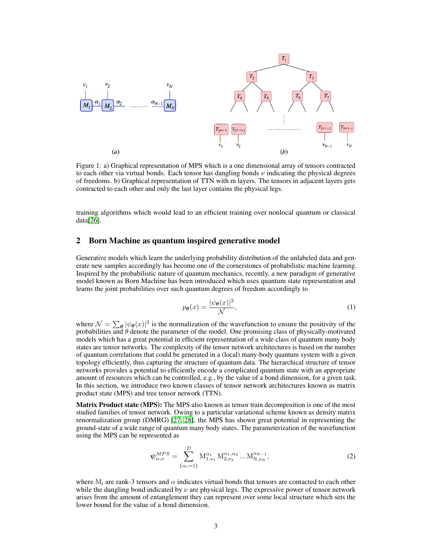

Figure 1: a) Graphical representation of MPS which is a one dimensional array of tensors contracted to each other via virtual bonds. Each tensor has dangling bonds  $\nu$  indicating the physical degrees of freedoms. b) Graphical representation of TTN with m layers. The tensors in adjacent layers gets contracted to each other and only the last layer contains the physical legs.

training algorithms which would lead to an efficient training over nonlocal quantum or classical data<sup>[26]</sup>.

#### 2 Born Machine as quantum inspired generative model

Generative models which learn the underlying probability distribution of the unlabeled data and generate new samples accordingly has become one of the cornerstones of probabilistic machine learning. Inspired by the probabilistic nature of quantum mechanics, recently, a new paradigm of generative model known as Born Machine has been introduced which uses quantum state representation and learns the joint probabilities over such quantum degrees of freedom accordingly to

$$
p_{\theta}(x) = \frac{|\psi_{\theta}(x)|^2}{\mathcal{N}},
$$
\n(1)

where  $\mathcal{N} = \sum_{\theta} |\psi_{\theta}(x)|^2$  is the normalization of the wavefunction to ensure the positivity of the probabilities and  $\theta$  denote the parameter of the model. One promising class of physically-motivated models which has a great potential in efficient representation of a wide class of quantum many body states are tensor networks. The complexity of the tensor network architectures is based on the number of quantum correlations that could be generated in a (local) many-body quantum system with a given topology efficiently, thus capturing the structure of quantum data. The hierarchical structure of tensor networks provides a potential to efficiently encode a complicated quantum state with an appropriate amount of resources which can be controlled, e.g., by the value of a bond dimension, for a given task. In this section, we introduce two known classes of tensor network architectures known as matrix product state (MPS) and tree tensor network (TTN).

Matrix Product state (MPS): The MPS also known as tensor train decomposition is one of the most studied families of tensor network. Owing to a particular variational scheme known as density matrix renormalization group (DMRG)  $\overline{27}$ ,  $\overline{28}$ , the MPS has shown great potential in representing the ground-state of a wide range of quantum many body states. The parameterization of the wavefunction using the MPS can be represented as

$$
\psi_{\alpha,\nu}^{MPS} = \sum_{\{\alpha_i=1\}}^{D} M_{1,\nu_1}^{\alpha_1} M_{2,\nu_2}^{\alpha_1,\alpha_2} \dots M_{N,\nu_N}^{\alpha_{N-1}},
$$
\n(2)

where  $M_i$  are rank-3 tensors and  $\alpha$  indicates virtual bonds that tensors are contacted to each other while the dangling bond indicated by  $\nu$  are physical legs. The expressive power of tensor network arises from the amount of entanglement they can represent over some local structure which sets the lower bound for the value of a bond dimension.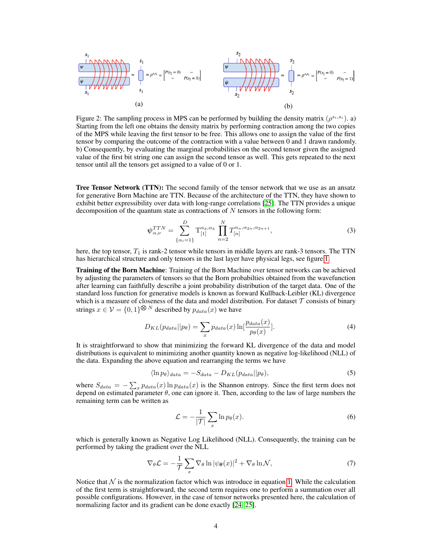

Figure 2: The sampling process in MPS can be performed by building the density matrix  $(\rho^{s_i,s_i})$ . a) Starting from the left one obtains the density matrix by performing contraction among the two copies of the MPS while leaving the first tensor to be free. This allows one to assign the value of the first tensor by comparing the outcome of the contraction with a value between 0 and 1 drawn randomly. b) Consequently, by evaluating the marginal probabilities on the second tensor given the assigned value of the first bit string one can assign the second tensor as well. This gets repeated to the next tensor until all the tensors get assigned to a value of 0 or 1.

Tree Tensor Network (TTN): The second family of the tensor network that we use as an ansatz for generative Born Machine are TTN. Because of the architecture of the TTN, they have shown to exhibit better expressibility over data with long-range correlations  $[25]$ . The TTN provides a unique decomposition of the quantum state as contractions of *N* tensors in the following form:

$$
\psi_{\alpha,\nu}^{TTN} = \sum_{\{\alpha_i=1\}}^{D} \mathcal{T}_{[1]}^{\alpha_2,\alpha_3} \prod_{n=2}^{N} T_{[n]}^{\alpha_n,\alpha_{2n},\alpha_{2n+1}}, \tag{3}
$$

here, the top tensor,  $T_1$  is rank-2 tensor while tensors in middle layers are rank-3 tensors. The TTN has hierarchical structure and only tensors in the last layer have physical legs, see figure  $\sqrt{1}$ .

Training of the Born Machine: Training of the Born Machine over tensor networks can be achieved by adjusting the parameters of tensors so that the Born probabilties obtained from the wavefunction after learning can faithfully describe a joint probability distribution of the target data. One of the standard loss function for generative models is known as forward Kullback-Leibler (KL) divergence which is a measure of closeness of the data and model distribution. For dataset  $\tau$  consists of binary strings  $x \in \mathcal{V} = \{0, 1\}^{\bigotimes N}$  described by  $p_{data}(x)$  we have

$$
D_{KL}(p_{data}||p_{\theta}) = \sum_{x} p_{data}(x) \ln[\frac{p_{data}(x)}{p_{\theta}(x)}].
$$
\n(4)

It is straightforward to show that minimizing the forward KL divergence of the data and model distributions is equivalent to minimizing another quantity known as negative log-likelihood (NLL) of the data. Expanding the above equation and rearranging the terms we have

$$
\langle \ln p_{\theta} \rangle_{data} = -S_{data} - D_{KL}(p_{data} || p_{\theta}), \tag{5}
$$

where  $S_{data} = -\sum_{x} p_{data}(x) \ln p_{data}(x)$  is the Shannon entropy. Since the first term does not depend on estimated parameter  $\theta$ , one can ignore it. Then, according to the law of large numbers the remaining term can be written as

$$
\mathcal{L} = -\frac{1}{|\mathcal{T}|} \sum_{x} \ln p_{\theta}(x). \tag{6}
$$

which is generally known as Negative Log Likelihood (NLL). Consequently, the training can be performed by taking the gradient over the NLL

$$
\nabla_{\theta} \mathcal{L} = -\frac{1}{\mathcal{T}} \sum_{x} \nabla_{\theta} \ln |\psi_{\theta}(x)|^2 + \nabla_{\theta} \ln \mathcal{N}, \tag{7}
$$

Notice that  $\mathcal N$  is the normalization factor which was introduce in equation  $\overline{\mathbf 1}$ . While the calculation of the first term is straightforward, the second term requires one to perform a summation over all possible configurations. However, in the case of tensor networks presented here, the calculation of normalizing factor and its gradient can be done exactly  $[24]$   $[25]$ .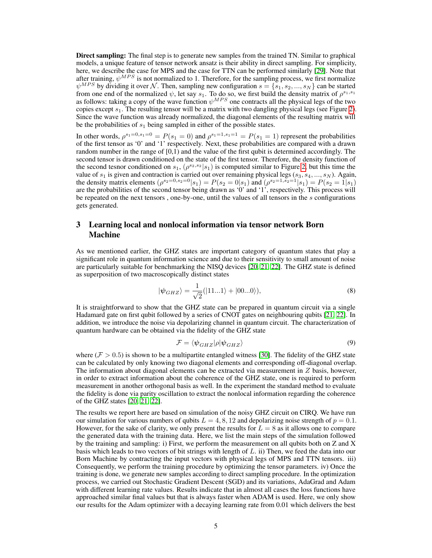**Direct sampling:** The final step is to generate new samples from the trained TN. Similar to graphical models, a unique feature of tensor network ansatz is their ability in direct sampling. For simplicity, here, we describe the case for MPS and the case for TTN can be performed similarly [29]. Note that after training,  $\psi^{MPS}$  is not normalized to 1. Therefore, for the sampling process, we first normalize  $\psi^{MPS}$  by dividing it over *N*. Then, sampling new configuration  $s = \{s_1, s_2, ..., s_N\}$  can be started from one end of the normalized  $\psi$ , let say  $s_1$ . To do so, we first build the density matrix of  $\rho^{s_1,s_1}$ as follows: taking a copy of the wave function  $\psi^{MPS}$  one contracts all the physical legs of the two copies except  $s_1$ . The resulting tensor will be a matrix with two dangling physical legs (see Figure  $\overline{2}$ ). Since the wave function was already normalized, the diagonal elements of the resulting matrix will be the probabilities of *s*<sup>1</sup> being sampled in either of the possible states.

In other words,  $\rho^{s_1=0, s_1=0} = P(s_1=0)$  and  $\rho^{s_1=1, s_1=1} = P(s_1=1)$  represent the probabilities of the first tensor as '0' and '1' respectively. Next, these probabilities are compared with a drawn random number in the range of [0,1) and the value of the first qubit is determined accordingly. The second tensor is drawn conditioned on the state of the first tensor. Therefore, the density function of the second tesnor conditioned on  $s_1$ ,  $(\rho^{s_2,s_2}|s_1)$  is computed similar to Figure  $\overline{2}$ , but this time the value of *s*<sup>1</sup> is given and contraction is carried out over remaining physical legs (*s*3*, s*4*, ..., s<sup>N</sup>* ). Again, the density matrix elements  $(\rho^{s_2=0, s_2=0} | s_1) = P(s_2=0 | s_1)$  and  $(\rho^{s_2=1, s_2=1} | s_1) = P(s_2=1 | s_1)$ are the probabilities of the second tensor being drawn as '0' and '1', respectively. This process will be repeated on the next tensors , one-by-one, until the values of all tensors in the *s* configurations gets generated.

## 3 Learning local and nonlocal information via tensor network Born Machine

As we mentioned earlier, the GHZ states are important category of quantum states that play a significant role in quantum information science and due to their sensitivity to small amount of noise are particularly suitable for benchmarking the NISQ devices [20, 21, 22]. The GHZ state is defined as superposition of two macroscopically distinct states

$$
|\psi_{GHZ}\rangle = \frac{1}{\sqrt{2}}(|11...1\rangle + |00...0\rangle),\tag{8}
$$

It is straightforward to show that the GHZ state can be prepared in quantum circuit via a single Hadamard gate on first qubit followed by a series of CNOT gates on neighbouring qubits  $[21]$ ,  $[22]$ . In addition, we introduce the noise via depolarizing channel in quantum circuit. The characterization of quantum hardware can be obtained via the fidelity of the GHZ state

$$
\mathcal{F} = \langle \psi_{GHZ} | \rho | \psi_{GHZ} \rangle \tag{9}
$$

where ( $\mathcal{F} > 0.5$ ) is shown to be a multipartite entangled witness [30]. The fidelity of the GHZ state can be calculated by only knowing two diagonal elements and corresponding off-diagonal overlap. The information about diagonal elements can be extracted via measurement in *Z* basis, however, in order to extract information about the coherence of the GHZ state, one is required to perform measurement in another orthogonal basis as well. In the experiment the standard method to evaluate the fidelity is done via parity oscillation to extract the nonlocal information regarding the coherence of the GHZ states  $\left[20, 21, 22\right]$ .

The results we report here are based on simulation of the noisy GHZ circuit on CIRQ. We have run our simulation for various numbers of qubits  $L = 4, 8, 12$  and depolarizing noise strength of  $p = 0.1$ . However, for the sake of clarity, we only present the results for  $L = 8$  as it allows one to compare the generated data with the training data. Here, we list the main steps of the simulation followed by the training and sampling: i) First, we perform the measurement on all qubits both on Z and X basis which leads to two vectors of bit strings with length of *L*. ii) Then, we feed the data into our Born Machine by contracting the input vectors with physical legs of MPS and TTN tensors. iii) Consequently, we perform the training procedure by optimizing the tensor parameters. iv) Once the training is done, we generate new samples according to direct sampling procedure. In the optimization process, we carried out Stochastic Gradient Descent (SGD) and its variations, AdaGrad and Adam with different learning rate values. Results indicate that in almost all cases the loss functions have approached similar final values but that is always faster when ADAM is used. Here, we only show our results for the Adam optimizer with a decaying learning rate from 0.01 which delivers the best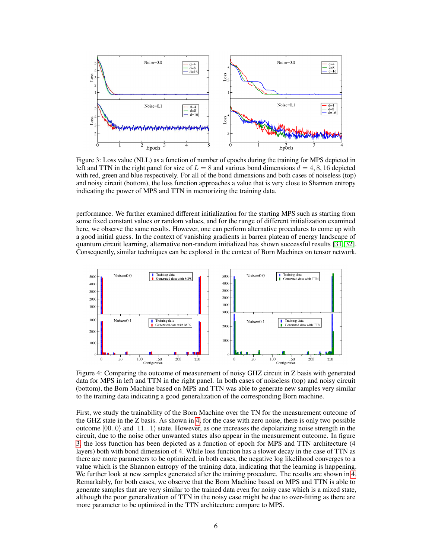

Figure 3: Loss value (NLL) as a function of number of epochs during the training for MPS depicted in left and TTN in the right panel for size of  $L = 8$  and various bond dimensions  $d = 4, 8, 16$  depicted with red, green and blue respectively. For all of the bond dimensions and both cases of noiseless (top) and noisy circuit (bottom), the loss function approaches a value that is very close to Shannon entropy indicating the power of MPS and TTN in memorizing the training data.

performance. We further examined different initialization for the starting MPS such as starting from some fixed constant values or random values, and for the range of different initialization examined here, we observe the same results. However, one can perform alternative procedures to come up with a good initial guess. In the context of vanishing gradients in barren plateau of energy landscape of quantum circuit learning, alternative non-random initialized has shown successful results  $[31, 32]$ . Consequently, similar techniques can be explored in the context of Born Machines on tensor network.



data for MPS in left and TTN in the right panel. In both cases of noiseless (top) and noisy circuit (bottom), the Born Machine based on MPS and TTN was able to generate new samples very similar to the training data indicating a good generalization of the corresponding Born machine.

First, we study the trainability of the Born Machine over the TN for the measurement outcome of the GHZ state in the Z basis. As shown in  $\overline{A}$  for the case with zero noise, there is only two possible outcome  $|00..0\rangle$  and  $|11...1\rangle$  state. However, as one increases the depolarizing noise strength in the circuit, due to the noise other unwanted states also appear in the measurement outcome. In figure  $\overline{3}$ , the loss function has been depicted as a function of epoch for MPS and TTN architecture (4) layers) both with bond dimension of 4. While loss function has a slower decay in the case of TTN as there are more parameters to be optimized, in both cases, the negative log likelihood converges to a value which is the Shannon entropy of the training data, indicating that the learning is happening. We further look at new samples generated after the training procedure. The results are shown in  $\frac{1}{4}$ . Remarkably, for both cases, we observe that the Born Machine based on MPS and TTN is able to generate samples that are very similar to the trained data even for noisy case which is a mixed state, although the poor generalization of TTN in the noisy case might be due to over-fitting as there are more parameter to be optimized in the TTN architecture compare to MPS.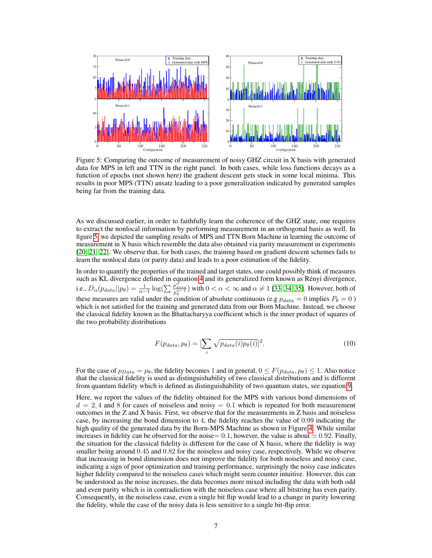

Figure 5: Comparing the outcome of measurement of noisy GHZ circuit in X basis with generated data for MPS in left and TTN in the right panel. In both cases, while loss functions decays as a function of epochs (not shown here) the gradient descent gets stuck in some local minima. This results in poor MPS (TTN) ansatz leading to a poor generalization indicated by generated samples being far from the training data.

As we discussed earlier, in order to faithfully learn the coherence of the GHZ state, one requires to extract the nonlocal information by performing measurement in an orthogonal basis as well. In figure  $\overline{5}$ , we depicted the sampling results of MPS and TTN Born Machine in learning the outcome of measurement in X basis which resemble the data also obtained via parity measurement in experiments [20, 21, 22]. We observe that, for both cases, the training based on gradient descent schemes fails to learn the nonlocal data (or parity data) and leads to a poor estimation of the fidelity.

In order to quantify the properties of the trained and target states, one could possibly think of measures such as KL divergence defined in equation  $\frac{4}{1}$  and its generalized form known as Rényi divergence, i.e.,  $D_{\alpha}(p_{data}||p_{\theta}) = \frac{1}{\alpha - 1} \log(\sum_{p_{\theta}^{\alpha} \text{ odd}} p_{\theta}^{\alpha - 1})$  with  $0 < \alpha < \infty$  and  $\alpha \neq 1$  [33] [34] [35]. However, both of these measures are valid under the condition of absolute continuous (e.g  $p_{data} = 0$  implies  $P_{\theta} = 0$ ) which is not satisfied for the training and generated data from our Born Machine. Instead, we choose the classical fidelity known as the Bhattacharyya coefficient which is the inner product of squares of the two probability distributions

$$
F(p_{data}, p_{\theta}) = \left[\sum_{i} \sqrt{p_{data}(i)p_{\theta}(i)}\right]^2.
$$
 (10)

For the case of  $p_{Data} = p_\theta$ , the fidelity becomes 1 and in general,  $0 \leq F(p_{data}, p_\theta) \leq 1$ . Also notice that the classical fidelity is used as distinguishability of two classical distributions and is different from quantum fidelity which is defined as distinguishability of two quantum states, see equation  $\boxed{9}$ .

Here, we report the values of the fidelity obtained for the MPS with various bond dimensions of  $d = 2, 4$  and 8 for cases of noiseless and noisy  $= 0.1$  which is repeated for both measurement outcomes in the Z and X basis. First, we observe that for the measurements in Z basis and noiseless case, by increasing the bond dimension to 4, the fidelity reaches the value of 0*.*99 indicating the high quality of the generated data by the Born-MPS Machine as shown in Figure  $\frac{4}{1}$ . While similar increases in fidelity can be observed for the noise= 0.1, however, the value is about  $\simeq$  0.92. Finally, the situation for the classical fidelity is different for the case of X basis, where the fidelity is way smaller being around 0*.*45 and 0*.*82 for the noiseless and noisy case, respectively. While we observe that increasing in bond dimension does not improve the fidelity for both noiseless and noisy case, indicating a sign of poor optimization and training performance, surprisingly the noisy case indicates higher fidelity compared to the noiseless cases which might seem counter intuitive. However, this can be understood as the noise increases, the data becomes more mixed including the data with both odd and even parity which is in contradiction with the noiseless case where all bitstring has even parity. Consequently, in the noiseless case, even a single bit flip would lead to a change in parity lowering the fidelity, while the case of the noisy data is less sensitive to a single bit-flip error.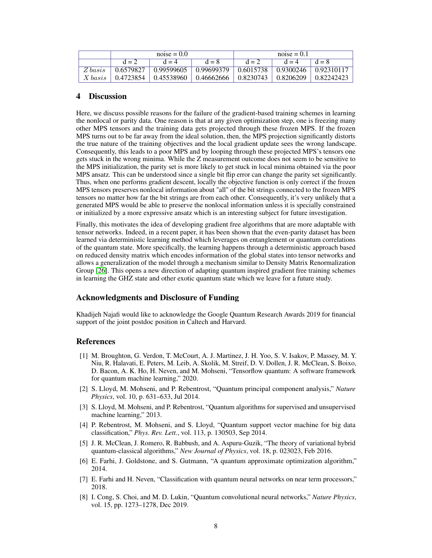|         | $noise = 0.0$ |                                            |                   | $noise = 0.1$         |                  |            |
|---------|---------------|--------------------------------------------|-------------------|-----------------------|------------------|------------|
|         | $d = 2$       | $d = 4$                                    | $d = 8$           | $d = 2$               | $d = 4$          | $d = 8$    |
| Z basis | 0.6579827     | 0.99599605                                 | $\mid$ 0.99699379 | 0.6015738             | $\pm 0.9300246$  | 0.92310117 |
| X basis | 0.4723854     | $\mid$ 0.45538960 $\mid$ 0.46662666 $\mid$ |                   | $\mid 0.8230743 \mid$ | $\mid 0.8206209$ | 0.82242423 |

## 4 Discussion

Here, we discuss possible reasons for the failure of the gradient-based training schemes in learning the nonlocal or parity data. One reason is that at any given optimization step, one is freezing many other MPS tensors and the training data gets projected through these frozen MPS. If the frozen MPS turns out to be far away from the ideal solution, then, the MPS projection significantly distorts the true nature of the training objectives and the local gradient update sees the wrong landscape. Consequently, this leads to a poor MPS and by looping through these projected MPS's tensors one gets stuck in the wrong minima. While the Z measurement outcome does not seem to be sensitive to the MPS initialization, the parity set is more likely to get stuck in local minima obtained via the poor MPS ansatz. This can be understood since a single bit flip error can change the parity set significantly. Thus, when one performs gradient descent, locally the objective function is only correct if the frozen MPS tensors preserves nonlocal information about "all" of the bit strings connected to the frozen MPS tensors no matter how far the bit strings are from each other. Consequently, it's very unlikely that a generated MPS would be able to preserve the nonlocal information unless it is specially constrained or initialized by a more expressive ansatz which is an interesting subject for future investigation.

Finally, this motivates the idea of developing gradient free algorithms that are more adaptable with tensor networks. Indeed, in a recent paper, it has been shown that the even-parity dataset has been learned via deterministic learning method which leverages on entanglement or quantum correlations of the quantum state. More specifically, the learning happens through a deterministic approach based on reduced density matrix which encodes information of the global states into tensor networks and allows a generalization of the model through a mechanism similar to Density Matrix Renormalization Group  $\boxed{26}$ . This opens a new direction of adapting quantum inspired gradient free training schemes in learning the GHZ state and other exotic quantum state which we leave for a future study.

## Acknowledgments and Disclosure of Funding

Khadijeh Najafi would like to acknowledge the Google Quantum Research Awards 2019 for financial support of the joint postdoc position in Caltech and Harvard.

#### References

- [1] M. Broughton, G. Verdon, T. McCourt, A. J. Martinez, J. H. Yoo, S. V. Isakov, P. Massey, M. Y. Niu, R. Halavati, E. Peters, M. Leib, A. Skolik, M. Streif, D. V. Dollen, J. R. McClean, S. Boixo, D. Bacon, A. K. Ho, H. Neven, and M. Mohseni, "Tensorflow quantum: A software framework for quantum machine learning," 2020.
- [2] S. Lloyd, M. Mohseni, and P. Rebentrost, "Quantum principal component analysis," *Nature Physics*, vol. 10, p. 631–633, Jul 2014.
- [3] S. Lloyd, M. Mohseni, and P. Rebentrost, "Quantum algorithms for supervised and unsupervised machine learning," 2013.
- [4] P. Rebentrost, M. Mohseni, and S. Lloyd, "Quantum support vector machine for big data classification," *Phys. Rev. Lett.*, vol. 113, p. 130503, Sep 2014.
- [5] J. R. McClean, J. Romero, R. Babbush, and A. Aspuru-Guzik, "The theory of variational hybrid quantum-classical algorithms," *New Journal of Physics*, vol. 18, p. 023023, Feb 2016.
- [6] E. Farhi, J. Goldstone, and S. Gutmann, "A quantum approximate optimization algorithm," 2014.
- [7] E. Farhi and H. Neven, "Classification with quantum neural networks on near term processors," 2018.
- [8] I. Cong, S. Choi, and M. D. Lukin, "Quantum convolutional neural networks," *Nature Physics*, vol. 15, pp. 1273–1278, Dec 2019.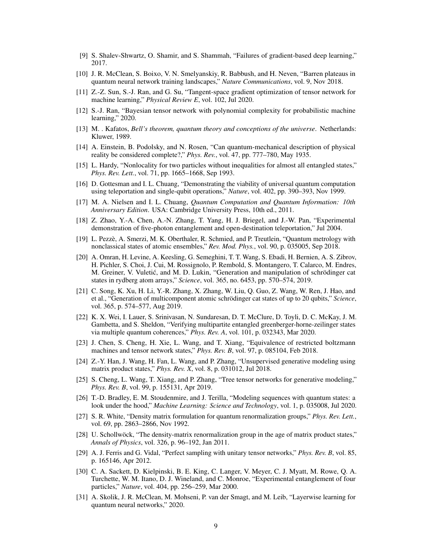- [9] S. Shalev-Shwartz, O. Shamir, and S. Shammah, "Failures of gradient-based deep learning," 2017.
- [10] J. R. McClean, S. Boixo, V. N. Smelyanskiy, R. Babbush, and H. Neven, "Barren plateaus in quantum neural network training landscapes," *Nature Communications*, vol. 9, Nov 2018.
- [11] Z.-Z. Sun, S.-J. Ran, and G. Su, "Tangent-space gradient optimization of tensor network for machine learning," *Physical Review E*, vol. 102, Jul 2020.
- [12] S.-J. Ran, "Bayesian tensor network with polynomial complexity for probabilistic machine learning," 2020.
- [13] M. . Kafatos, *Bell's theorem, quantum theory and conceptions of the universe*. Netherlands: Kluwer, 1989.
- [14] A. Einstein, B. Podolsky, and N. Rosen, "Can quantum-mechanical description of physical reality be considered complete?," *Phys. Rev.*, vol. 47, pp. 777–780, May 1935.
- [15] L. Hardy, "Nonlocality for two particles without inequalities for almost all entangled states," *Phys. Rev. Lett.*, vol. 71, pp. 1665–1668, Sep 1993.
- [16] D. Gottesman and I. L. Chuang, "Demonstrating the viability of universal quantum computation using teleportation and single-qubit operations," *Nature*, vol. 402, pp. 390–393, Nov 1999.
- [17] M. A. Nielsen and I. L. Chuang, *Quantum Computation and Quantum Information: 10th Anniversary Edition*. USA: Cambridge University Press, 10th ed., 2011.
- [18] Z. Zhao, Y.-A. Chen, A.-N. Zhang, T. Yang, H. J. Briegel, and J.-W. Pan, "Experimental demonstration of five-photon entanglement and open-destination teleportation," Jul 2004.
- [19] L. Pezzè, A. Smerzi, M. K. Oberthaler, R. Schmied, and P. Treutlein, "Quantum metrology with nonclassical states of atomic ensembles," *Rev. Mod. Phys.*, vol. 90, p. 035005, Sep 2018.
- [20] A. Omran, H. Levine, A. Keesling, G. Semeghini, T. T. Wang, S. Ebadi, H. Bernien, A. S. Zibrov, H. Pichler, S. Choi, J. Cui, M. Rossignolo, P. Rembold, S. Montangero, T. Calarco, M. Endres, M. Greiner, V. Vuletic, and M. D. Lukin, "Generation and manipulation of schrödinger cat ´ states in rydberg atom arrays," *Science*, vol. 365, no. 6453, pp. 570–574, 2019.
- [21] C. Song, K. Xu, H. Li, Y.-R. Zhang, X. Zhang, W. Liu, Q. Guo, Z. Wang, W. Ren, J. Hao, and et al., "Generation of multicomponent atomic schrödinger cat states of up to 20 qubits," *Science*, vol. 365, p. 574–577, Aug 2019.
- [22] K. X. Wei, I. Lauer, S. Srinivasan, N. Sundaresan, D. T. McClure, D. Toyli, D. C. McKay, J. M. Gambetta, and S. Sheldon, "Verifying multipartite entangled greenberger-horne-zeilinger states via multiple quantum coherences," *Phys. Rev. A*, vol. 101, p. 032343, Mar 2020.
- [23] J. Chen, S. Cheng, H. Xie, L. Wang, and T. Xiang, "Equivalence of restricted boltzmann machines and tensor network states," *Phys. Rev. B*, vol. 97, p. 085104, Feb 2018.
- [24] Z.-Y. Han, J. Wang, H. Fan, L. Wang, and P. Zhang, "Unsupervised generative modeling using matrix product states," *Phys. Rev. X*, vol. 8, p. 031012, Jul 2018.
- [25] S. Cheng, L. Wang, T. Xiang, and P. Zhang, "Tree tensor networks for generative modeling," *Phys. Rev. B*, vol. 99, p. 155131, Apr 2019.
- [26] T.-D. Bradley, E. M. Stoudenmire, and J. Terilla, "Modeling sequences with quantum states: a look under the hood," *Machine Learning: Science and Technology*, vol. 1, p. 035008, Jul 2020.
- [27] S. R. White, "Density matrix formulation for quantum renormalization groups," *Phys. Rev. Lett.*, vol. 69, pp. 2863–2866, Nov 1992.
- [28] U. Schollwöck, "The density-matrix renormalization group in the age of matrix product states," *Annals of Physics*, vol. 326, p. 96–192, Jan 2011.
- [29] A. J. Ferris and G. Vidal, "Perfect sampling with unitary tensor networks," *Phys. Rev. B*, vol. 85, p. 165146, Apr 2012.
- [30] C. A. Sackett, D. Kielpinski, B. E. King, C. Langer, V. Meyer, C. J. Myatt, M. Rowe, Q. A. Turchette, W. M. Itano, D. J. Wineland, and C. Monroe, "Experimental entanglement of four particles," *Nature*, vol. 404, pp. 256–259, Mar 2000.
- [31] A. Skolik, J. R. McClean, M. Mohseni, P. van der Smagt, and M. Leib, "Layerwise learning for quantum neural networks," 2020.